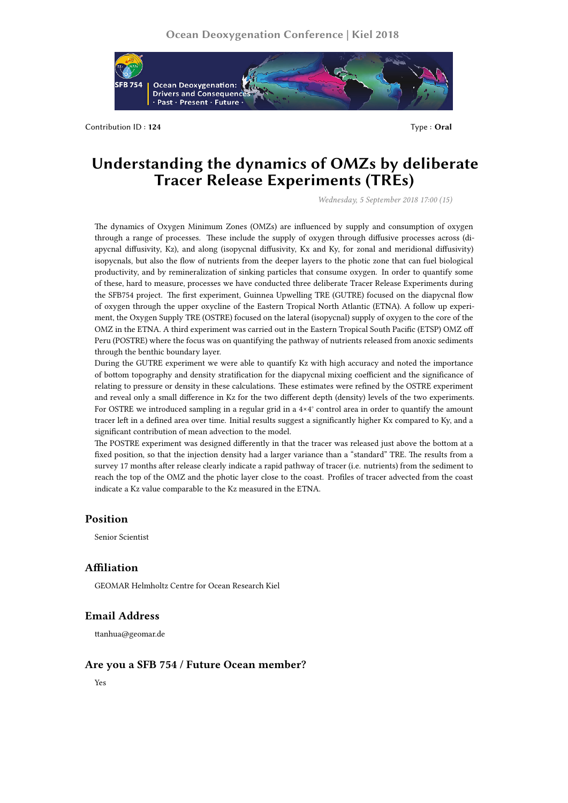

Contribution ID: **124** Type : **Oral** 

# **Understanding the dynamics of OMZs by deliberate Tracer Release Experiments (TREs)**

*Wednesday, 5 September 2018 17:00 (15)*

The dynamics of Oxygen Minimum Zones (OMZs) are influenced by supply and consumption of oxygen through a range of processes. These include the supply of oxygen through diffusive processes across (diapycnal diffusivity, Kz), and along (isopycnal diffusivity, Kx and Ky, for zonal and meridional diffusivity) isopycnals, but also the flow of nutrients from the deeper layers to the photic zone that can fuel biological productivity, and by remineralization of sinking particles that consume oxygen. In order to quantify some of these, hard to measure, processes we have conducted three deliberate Tracer Release Experiments during the SFB754 project. The first experiment, Guinnea Upwelling TRE (GUTRE) focused on the diapycnal flow of oxygen through the upper oxycline of the Eastern Tropical North Atlantic (ETNA). A follow up experiment, the Oxygen Supply TRE (OSTRE) focused on the lateral (isopycnal) supply of oxygen to the core of the OMZ in the ETNA. A third experiment was carried out in the Eastern Tropical South Pacific (ETSP) OMZ off Peru (POSTRE) where the focus was on quantifying the pathway of nutrients released from anoxic sediments through the benthic boundary layer.

During the GUTRE experiment we were able to quantify Kz with high accuracy and noted the importance of bottom topography and density stratification for the diapycnal mixing coefficient and the significance of relating to pressure or density in these calculations. These estimates were refined by the OSTRE experiment and reveal only a small difference in Kz for the two different depth (density) levels of the two experiments. For OSTRE we introduced sampling in a regular grid in a 4×4° control area in order to quantify the amount tracer left in a defined area over time. Initial results suggest a significantly higher Kx compared to Ky, and a significant contribution of mean advection to the model.

The POSTRE experiment was designed differently in that the tracer was released just above the bottom at a fixed position, so that the injection density had a larger variance than a "standard" TRE. The results from a survey 17 months after release clearly indicate a rapid pathway of tracer (i.e. nutrients) from the sediment to reach the top of the OMZ and the photic layer close to the coast. Profiles of tracer advected from the coast indicate a Kz value comparable to the Kz measured in the ETNA.

# **Position**

Senior Scientist

## **Affiliation**

GEOMAR Helmholtz Centre for Ocean Research Kiel

## **Email Address**

ttanhua@geomar.de

## **Are you a SFB 754 / Future Ocean member?**

Yes